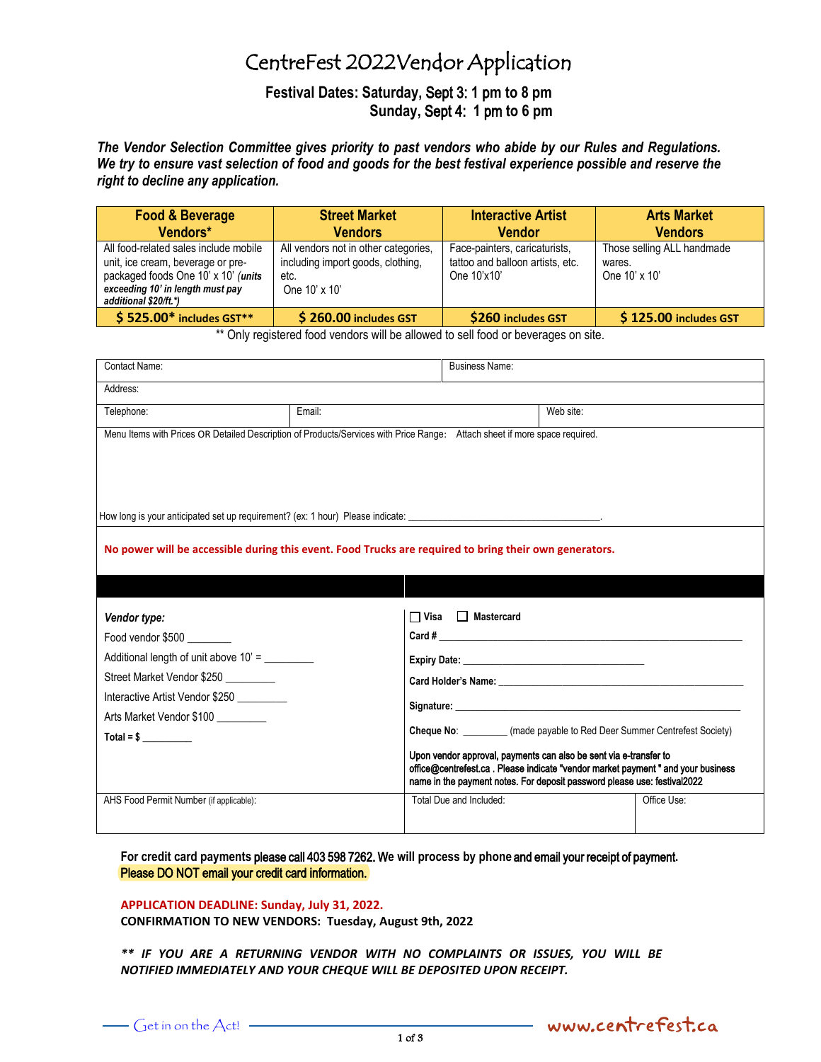# CentreFest 2022Vendor Application

**Festival Dates: Saturday,** Sept 3: **1** p**m to 8 pm Sunday,** Sept 4: **1** pm **to 6 pm**

*The Vendor Selection Committee gives priority to past vendors who abide by our Rules and Regulations. We try to ensure vast selection of food and goods for the best festival experience possible and reserve the right to decline any application.* 

| <b>Food &amp; Beverage</b>                                                                                                                                                     | <b>Street Market</b>                                                                               | <b>Interactive Artist</b>                                                        | <b>Arts Market</b>                                    |  |
|--------------------------------------------------------------------------------------------------------------------------------------------------------------------------------|----------------------------------------------------------------------------------------------------|----------------------------------------------------------------------------------|-------------------------------------------------------|--|
| Vendors*                                                                                                                                                                       | <b>Vendors</b>                                                                                     | <b>Vendor</b>                                                                    | <b>Vendors</b>                                        |  |
| All food-related sales include mobile<br>unit, ice cream, beverage or pre-<br>packaged foods One 10' x 10' (units<br>exceeding 10' in length must pay<br>additional \$20/ft.*) | All vendors not in other categories,<br>including import goods, clothing,<br>etc.<br>One 10' x 10' | Face-painters, caricaturists,<br>tattoo and balloon artists, etc.<br>One 10'x10' | Those selling ALL handmade<br>wares.<br>One 10' x 10' |  |
| $$525.00*$ includes GST**                                                                                                                                                      | \$260.00 includes GST                                                                              | \$260 includes GST                                                               | \$125.00 includes GST                                 |  |

\*\* Only registered food vendors will be allowed to sell food or beverages on site.

| Contact Name:                                                                                                                                                                                   |        | <b>Business Name:</b>                                                                                                                                                                                                                                                                             |           |                                                                                                                                                               |  |  |
|-------------------------------------------------------------------------------------------------------------------------------------------------------------------------------------------------|--------|---------------------------------------------------------------------------------------------------------------------------------------------------------------------------------------------------------------------------------------------------------------------------------------------------|-----------|---------------------------------------------------------------------------------------------------------------------------------------------------------------|--|--|
| Address:                                                                                                                                                                                        |        |                                                                                                                                                                                                                                                                                                   |           |                                                                                                                                                               |  |  |
| Telephone:                                                                                                                                                                                      | Email: |                                                                                                                                                                                                                                                                                                   | Web site: |                                                                                                                                                               |  |  |
| Menu Items with Prices OR Detailed Description of Products/Services with Price Range: Attach sheet if more space required.                                                                      |        |                                                                                                                                                                                                                                                                                                   |           |                                                                                                                                                               |  |  |
| No power will be accessible during this event. Food Trucks are required to bring their own generators.                                                                                          |        |                                                                                                                                                                                                                                                                                                   |           |                                                                                                                                                               |  |  |
| Vendor type:<br>Food vendor \$500 ________<br>Additional length of unit above 10' =<br>Street Market Vendor \$250<br>Interactive Artist Vendor \$250<br>Arts Market Vendor \$100<br>$Total = $$ |        | $\Box$ Visa $\Box$ Mastercard<br>Expiry Date: Note: Note: Note: Note: Note: Note: Note: Note: Note: Note: Note: Note: Note: Note: Note: Note: No<br>Upon vendor approval, payments can also be sent via e-transfer to<br>name in the payment notes. For deposit password please use: festival2022 |           | Cheque No: _________ (made payable to Red Deer Summer Centrefest Society)<br>office@centrefest.ca. Please indicate "vendor market payment " and your business |  |  |
| AHS Food Permit Number (if applicable):                                                                                                                                                         |        | Total Due and Included:                                                                                                                                                                                                                                                                           |           | Office Use:                                                                                                                                                   |  |  |

**For credit card payments** please call 403 598 7262. W**e will process by phone** and email your receipt of payment**.** Please [DO NOT email your credi](mailto:info@centrefest.ca)t card information.

#### **APPLICATION DEADLINE: Sunday, July 31, 2022.**

**CONFIRMATION TO NEW VENDORS: Tuesday, August 9th, 2022** 

*\*\* IF YOU ARE A RETURNING VENDOR WITH NO COMPLAINTS OR ISSUES, YOU WILL BE NOTIFIED IMMEDIATELY AND YOUR CHEQUE WILL BE DEPOSITED UPON RECEIPT.*

- www.centrefest.ca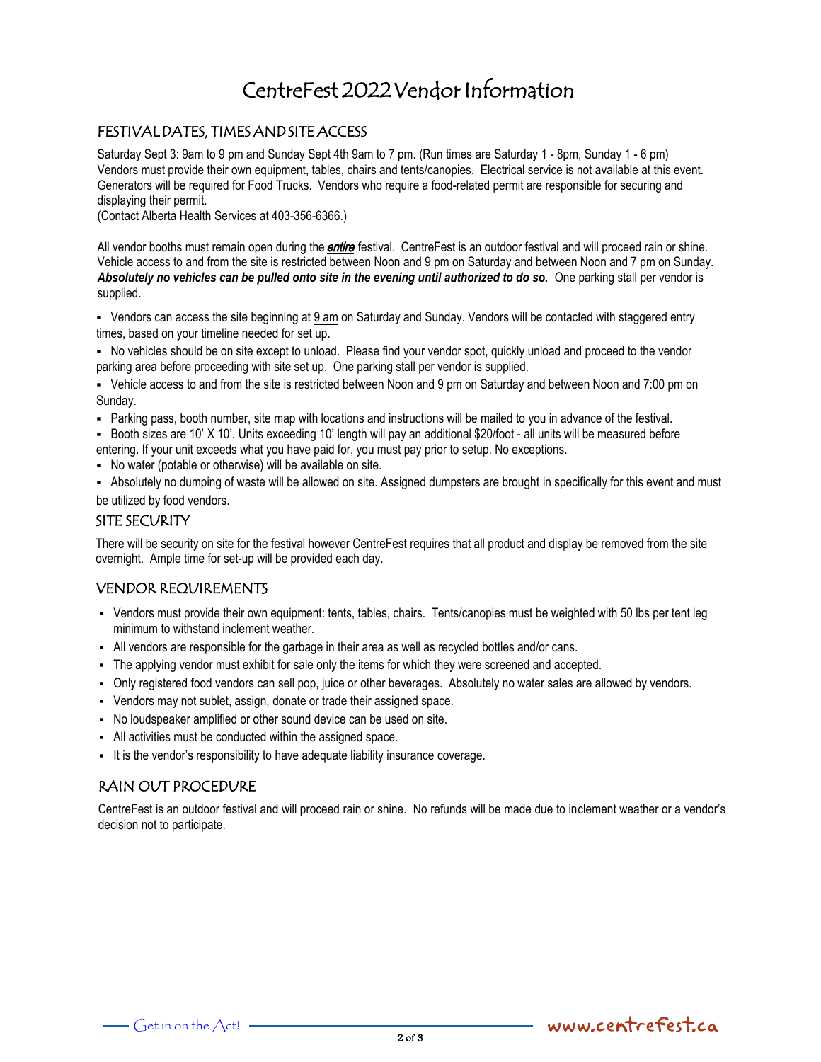# CentreFest 2022 Vendor Information

# FESTIVAL DATES, TIMES AND SITE ACCESS

Saturday Sept 3: 9am to 9 pm and Sunday Sept 4th 9am to 7 pm. (Run times are Saturday 1 - 8pm, Sunday 1 - 6 pm) Vendors must provide their own equipment, tables, chairs and tents/canopies. Electrical service is not available at this event. Generators will be required for Food Trucks. Vendors who require a food-related permit are responsible for securing and displaying their permit.

(Contact Alberta Health Services at 403-356-6366.)

All vendor booths must remain open during the **entire** festival. CentreFest is an outdoor festival and will proceed rain or shine. Vehicle access to and from the site is restricted between Noon and 9 pm on Saturday and between Noon and 7 pm on Sunday. *Absolutely no vehicles can be pulled onto site in the evening until authorized to do so.* One parking stall per vendor is supplied.

▪ Vendors can access the site beginning at 9 am on Saturday and Sunday. Vendors will be contacted with staggered entry times, based on your timeline needed for set up.

▪ No vehicles should be on site except to unload. Please find your vendor spot, quickly unload and proceed to the vendor parking area before proceeding with site set up. One parking stall per vendor is supplied.

▪ Vehicle access to and from the site is restricted between Noon and 9 pm on Saturday and between Noon and 7:00 pm on Sunday.

▪ Parking pass, booth number, site map with locations and instructions will be mailed to you in advance of the festival.

▪ Booth sizes are 10' X 10'. Units exceeding 10' length will pay an additional \$20/foot - all units will be measured before entering. If your unit exceeds what you have paid for, you must pay prior to setup. No exceptions.

▪ No water (potable or otherwise) will be available on site.

▪ Absolutely no dumping of waste will be allowed on site. Assigned dumpsters are brought in specifically for this event and must be utilized by food vendors.

### SITE SECURITY

There will be security on site for the festival however CentreFest requires that all product and display be removed from the site overnight. Ample time for set-up will be provided each day.

### VENDOR REQUIREMENTS

- Vendors must provide their own equipment: tents, tables, chairs. Tents/canopies must be weighted with 50 lbs per tent leg minimum to withstand inclement weather.
- All vendors are responsible for the garbage in their area as well as recycled bottles and/or cans.
- The applying vendor must exhibit for sale only the items for which they were screened and accepted.
- Only registered food vendors can sell pop, juice or other beverages. Absolutely no water sales are allowed by vendors.
- Vendors may not sublet, assign, donate or trade their assigned space.
- No loudspeaker amplified or other sound device can be used on site.
- All activities must be conducted within the assigned space.
- It is the vendor's responsibility to have adequate liability insurance coverage.

# RAIN OUT PROCEDURE

CentreFest is an outdoor festival and will proceed rain or shine. No refunds will be made due to inclement weather or a vendor's decision not to participate.